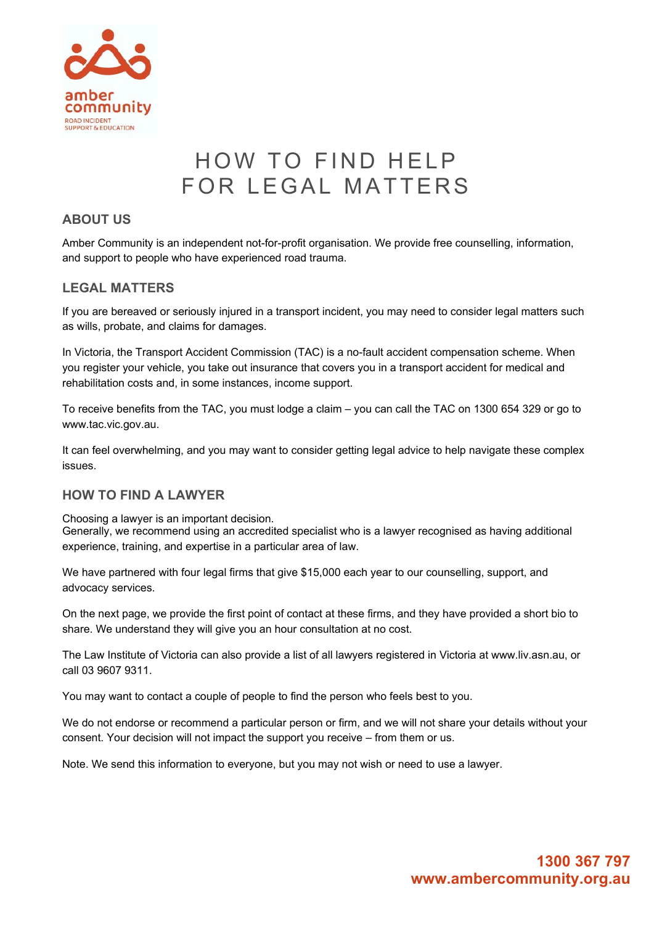

# HOW TO FIND HELP FOR LEGAL MATTERS

### **ABOUT US**

Amber Community is an independent not-for-profit organisation. We provide free counselling, information, and support to people who have experienced road trauma.

### **LEGAL MATTERS**

If you are bereaved or seriously injured in a transport incident, you may need to consider legal matters such as wills, probate, and claims for damages.

In Victoria, the Transport Accident Commission (TAC) is a no-fault accident compensation scheme. When you register your vehicle, you take out insurance that covers you in a transport accident for medical and rehabilitation costs and, in some instances, income support.

To receive benefits from the TAC, you must lodge a claim – you can call the TAC on 1300 654 329 or go to www.tac.vic.gov.au.

It can feel overwhelming, and you may want to consider getting legal advice to help navigate these complex issues.

### **HOW TO FIND A LAWYER**

Choosing a lawyer is an important decision.

Generally, we recommend using an accredited specialist who is a lawyer recognised as having additional experience, training, and expertise in a particular area of law.

We have partnered with four legal firms that give \$15,000 each year to our counselling, support, and advocacy services.

On the next page, we provide the first point of contact at these firms, and they have provided a short bio to share. We understand they will give you an hour consultation at no cost.

The Law Institute of Victoria can also provide a list of all lawyers registered in Victoria at www.liv.asn.au, or call 03 9607 9311.

You may want to contact a couple of people to find the person who feels best to you.

We do not endorse or recommend a particular person or firm, and we will not share your details without your consent. Your decision will not impact the support you receive – from them or us.

Note. We send this information to everyone, but you may not wish or need to use a lawyer.